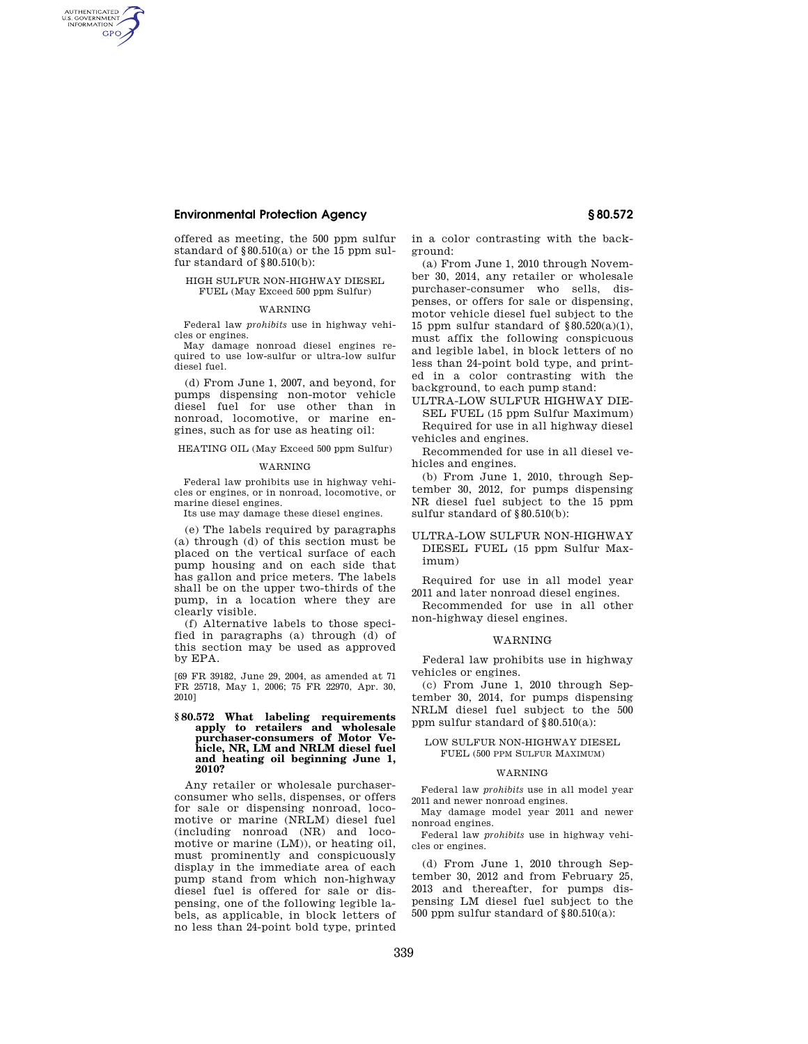# **Environmental Protection Agency § 80.572**

AUTHENTICATED<br>U.S. GOVERNMENT<br>INFORMATION **GPO** 

> offered as meeting, the 500 ppm sulfur standard of  $§80.510(a)$  or the 15 ppm sulfur standard of  $\S\,80.510(\mathrm{b})$ :

### HIGH SULFUR NON-HIGHWAY DIESEL FUEL (May Exceed 500 ppm Sulfur)

#### WARNING

Federal law *prohibits* use in highway vehicles or engines.

May damage nonroad diesel engines required to use low-sulfur or ultra-low sulfur diesel fuel.

(d) From June 1, 2007, and beyond, for pumps dispensing non-motor vehicle diesel fuel for use other than in nonroad, locomotive, or marine engines, such as for use as heating oil:

HEATING OIL (May Exceed 500 ppm Sulfur)

#### WARNING

Federal law prohibits use in highway vehicles or engines, or in nonroad, locomotive, or marine diesel engines.

Its use may damage these diesel engines.

(e) The labels required by paragraphs (a) through (d) of this section must be placed on the vertical surface of each pump housing and on each side that has gallon and price meters. The labels shall be on the upper two-thirds of the pump, in a location where they are clearly visible.

(f) Alternative labels to those specified in paragraphs (a) through (d) of this section may be used as approved by EPA.

[69 FR 39182, June 29, 2004, as amended at 71 FR 25718, May 1, 2006; 75 FR 22970, Apr. 30, 2010]

#### **§ 80.572 What labeling requirements apply to retailers and wholesale purchaser-consumers of Motor Vehicle, NR, LM and NRLM diesel fuel and heating oil beginning June 1, 2010?**

Any retailer or wholesale purchaserconsumer who sells, dispenses, or offers for sale or dispensing nonroad, locomotive or marine (NRLM) diesel fuel (including nonroad (NR) and locomotive or marine (LM)), or heating oil, must prominently and conspicuously display in the immediate area of each pump stand from which non-highway diesel fuel is offered for sale or dispensing, one of the following legible labels, as applicable, in block letters of no less than 24-point bold type, printed

in a color contrasting with the background:

(a) From June 1, 2010 through November 30, 2014, any retailer or wholesale purchaser-consumer who sells, dispenses, or offers for sale or dispensing, motor vehicle diesel fuel subject to the 15 ppm sulfur standard of  $§80.520(a)(1)$ , must affix the following conspicuous and legible label, in block letters of no less than 24-point bold type, and printed in a color contrasting with the background, to each pump stand:

ULTRA-LOW SULFUR HIGHWAY DIE-SEL FUEL (15 ppm Sulfur Maximum)

Required for use in all highway diesel vehicles and engines.

Recommended for use in all diesel vehicles and engines.

(b) From June 1, 2010, through September 30, 2012, for pumps dispensing NR diesel fuel subject to the 15 ppm sulfur standard of §80.510(b):

# ULTRA-LOW SULFUR NON-HIGHWAY DIESEL FUEL (15 ppm Sulfur Maximum)

Required for use in all model year 2011 and later nonroad diesel engines.

Recommended for use in all other non-highway diesel engines.

#### WARNING

Federal law prohibits use in highway vehicles or engines.

(c) From June 1, 2010 through September 30, 2014, for pumps dispensing NRLM diesel fuel subject to the 500 ppm sulfur standard of §80.510(a):

### LOW SULFUR NON-HIGHWAY DIESEL FUEL (500 PPM SULFUR MAXIMUM)

### **WARNING**

Federal law *prohibits* use in all model year 2011 and newer nonroad engines.

May damage model year 2011 and newer nonroad engines.

Federal law *prohibits* use in highway vehicles or engines.

(d) From June 1, 2010 through September 30, 2012 and from February 25, 2013 and thereafter, for pumps dispensing LM diesel fuel subject to the 500 ppm sulfur standard of §80.510(a):